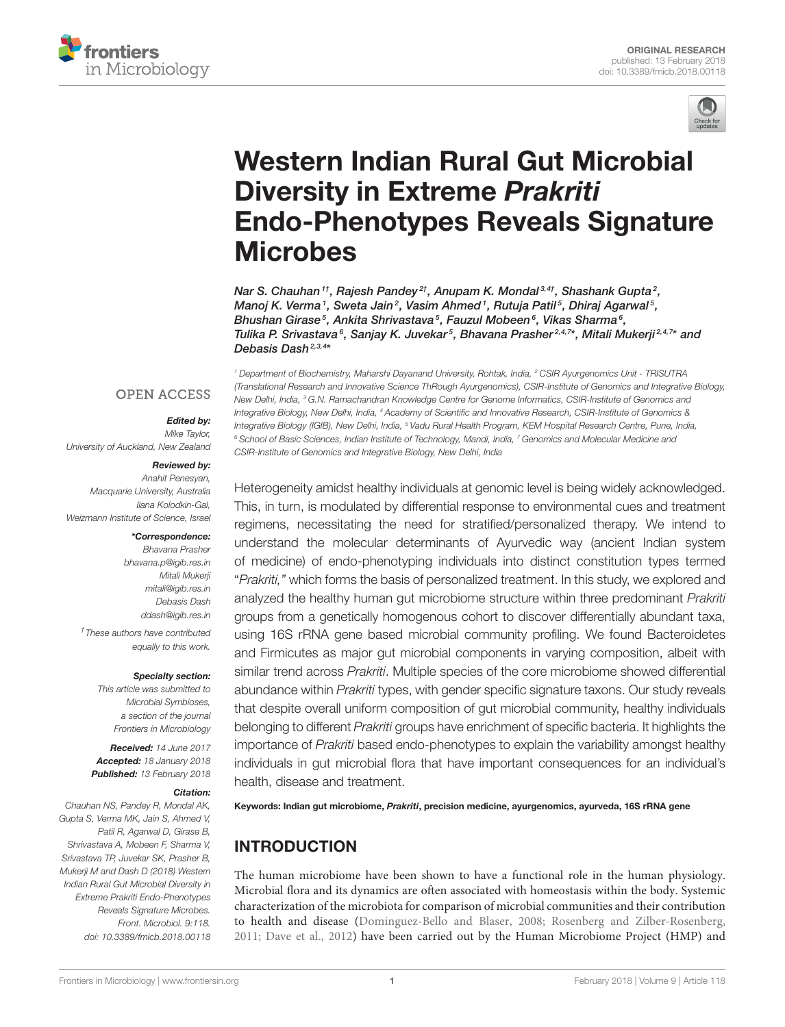



# Western Indian Rural Gut Microbial Diversity in Extreme Prakriti Endo-Phenotypes Reveals Signature **Microbes**

Nar S. Chauhan  $^{1}$ , Rajesh Pandey  $^{2}$ , Anupam K. Mondal  $^{3,4}$ , Shashank Gupta  $^{2}$ , Manoj K. Verma1, Sweta Jain<sup>2</sup>, Vasim Ahmed1, Rutuja Patil<sup>5</sup>, Dhiraj Agarwal<sup>5</sup>, Bhushan Girase<sup>5</sup>, Ankita Shrivastava<sup>5</sup>, Fauzul Mobeen<sup>6</sup>, Vikas Sharma<sup>6</sup>, Tulika P. Srivastava<sup>6</sup>, Sanjay K. Juvekar<sup>5</sup>, Bhavana Prasher<sup>2,4,7</sup>\*, Mitali Mukerji<sup>2,4,7</sup>\* and Debasis Dash<sup>2,3,4</sup>\*

**OPEN ACCESS** 

#### Edited by:

*Mike Taylor, University of Auckland, New Zealand*

#### Reviewed by:

*Anahit Penesyan, Macquarie University, Australia Ilana Kolodkin-Gal, Weizmann Institute of Science, Israel*

#### \*Correspondence:

*Bhavana Prasher bhavana.p@igib.res.in Mitali Mukerji mitali@igib.res.in Debasis Dash ddash@igib.res.in*

*† These authors have contributed equally to this work.*

#### Specialty section:

*This article was submitted to Microbial Symbioses, a section of the journal Frontiers in Microbiology*

Received: *14 June 2017* Accepted: *18 January 2018* Published: *13 February 2018*

#### Citation:

*Chauhan NS, Pandey R, Mondal AK, Gupta S, Verma MK, Jain S, Ahmed V, Patil R, Agarwal D, Girase B, Shrivastava A, Mobeen F, Sharma V, Srivastava TP, Juvekar SK, Prasher B, Mukerji M and Dash D (2018) Western Indian Rural Gut Microbial Diversity in Extreme Prakriti Endo-Phenotypes Reveals Signature Microbes. Front. Microbiol. 9:118. doi: 10.3389/fmicb.2018.00118*

*<sup>1</sup> Department of Biochemistry, Maharshi Dayanand University, Rohtak, India, <sup>2</sup> CSIR Ayurgenomics Unit - TRISUTRA (Translational Research and Innovative Science ThRough Ayurgenomics), CSIR-Institute of Genomics and Integrative Biology, New Delhi, India, <sup>3</sup> G.N. Ramachandran Knowledge Centre for Genome Informatics, CSIR-Institute of Genomics and Integrative Biology, New Delhi, India, <sup>4</sup> Academy of Scientific and Innovative Research, CSIR-Institute of Genomics & Integrative Biology (IGIB), New Delhi, India, <sup>5</sup> Vadu Rural Health Program, KEM Hospital Research Centre, Pune, India, <sup>6</sup> School of Basic Sciences, Indian Institute of Technology, Mandi, India, <sup>7</sup> Genomics and Molecular Medicine and CSIR-Institute of Genomics and Integrative Biology, New Delhi, India*

Heterogeneity amidst healthy individuals at genomic level is being widely acknowledged. This, in turn, is modulated by differential response to environmental cues and treatment regimens, necessitating the need for stratified/personalized therapy. We intend to understand the molecular determinants of Ayurvedic way (ancient Indian system of medicine) of endo-phenotyping individuals into distinct constitution types termed "*Prakriti,"* which forms the basis of personalized treatment. In this study, we explored and analyzed the healthy human gut microbiome structure within three predominant *Prakriti* groups from a genetically homogenous cohort to discover differentially abundant taxa, using 16S rRNA gene based microbial community profiling. We found Bacteroidetes and Firmicutes as major gut microbial components in varying composition, albeit with similar trend across *Prakriti*. Multiple species of the core microbiome showed differential abundance within *Prakriti* types, with gender specific signature taxons. Our study reveals that despite overall uniform composition of gut microbial community, healthy individuals belonging to different *Prakriti* groups have enrichment of specific bacteria. It highlights the importance of *Prakriti* based endo-phenotypes to explain the variability amongst healthy individuals in gut microbial flora that have important consequences for an individual's health, disease and treatment.

Keywords: Indian gut microbiome, Prakriti, precision medicine, ayurgenomics, ayurveda, 16S rRNA gene

### INTRODUCTION

The human microbiome have been shown to have a functional role in the human physiology. Microbial flora and its dynamics are often associated with homeostasis within the body. Systemic characterization of the microbiota for comparison of microbial communities and their contribution to health and disease (Dominguez-Bello and Blaser, 2008; Rosenberg and Zilber-Rosenberg, 2011; Dave et al., 2012) have been carried out by the Human Microbiome Project (HMP) and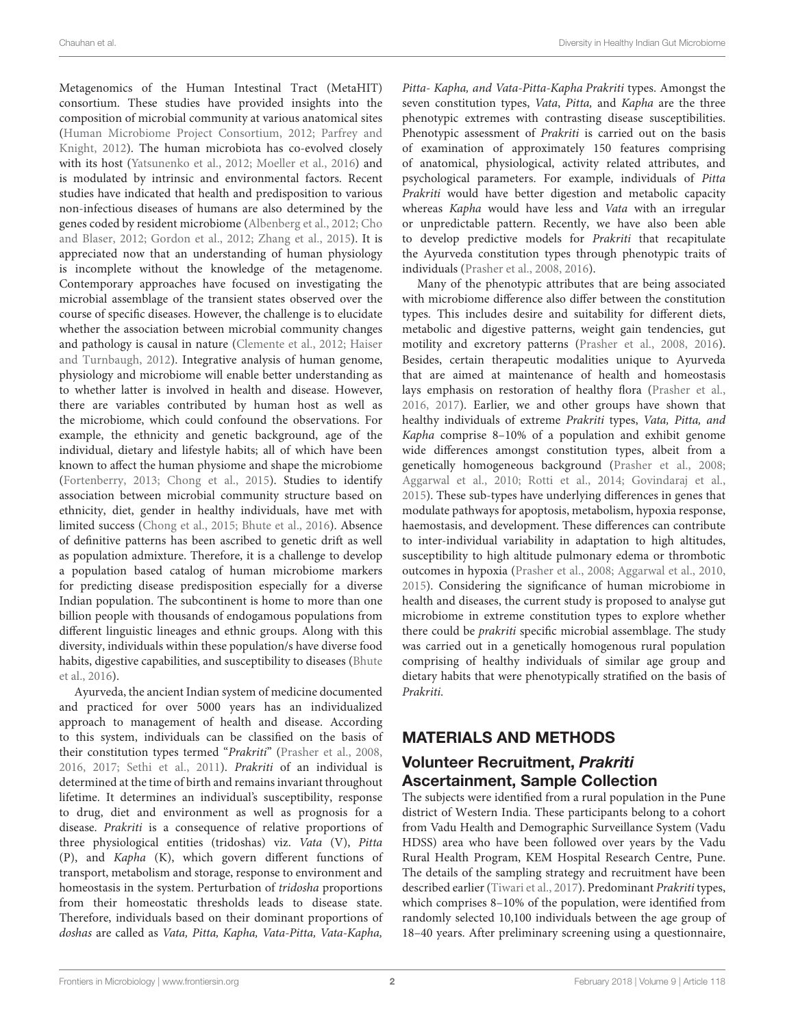Metagenomics of the Human Intestinal Tract (MetaHIT) consortium. These studies have provided insights into the composition of microbial community at various anatomical sites (Human Microbiome Project Consortium, 2012; Parfrey and Knight, 2012). The human microbiota has co-evolved closely with its host (Yatsunenko et al., 2012; Moeller et al., 2016) and is modulated by intrinsic and environmental factors. Recent studies have indicated that health and predisposition to various non-infectious diseases of humans are also determined by the genes coded by resident microbiome (Albenberg et al., 2012; Cho and Blaser, 2012; Gordon et al., 2012; Zhang et al., 2015). It is appreciated now that an understanding of human physiology is incomplete without the knowledge of the metagenome. Contemporary approaches have focused on investigating the microbial assemblage of the transient states observed over the course of specific diseases. However, the challenge is to elucidate whether the association between microbial community changes and pathology is causal in nature (Clemente et al., 2012; Haiser and Turnbaugh, 2012). Integrative analysis of human genome, physiology and microbiome will enable better understanding as to whether latter is involved in health and disease. However, there are variables contributed by human host as well as the microbiome, which could confound the observations. For example, the ethnicity and genetic background, age of the individual, dietary and lifestyle habits; all of which have been known to affect the human physiome and shape the microbiome (Fortenberry, 2013; Chong et al., 2015). Studies to identify association between microbial community structure based on ethnicity, diet, gender in healthy individuals, have met with limited success (Chong et al., 2015; Bhute et al., 2016). Absence of definitive patterns has been ascribed to genetic drift as well as population admixture. Therefore, it is a challenge to develop a population based catalog of human microbiome markers for predicting disease predisposition especially for a diverse Indian population. The subcontinent is home to more than one billion people with thousands of endogamous populations from different linguistic lineages and ethnic groups. Along with this diversity, individuals within these population/s have diverse food habits, digestive capabilities, and susceptibility to diseases (Bhute et al., 2016).

Ayurveda, the ancient Indian system of medicine documented and practiced for over 5000 years has an individualized approach to management of health and disease. According to this system, individuals can be classified on the basis of their constitution types termed "Prakriti" (Prasher et al., 2008, 2016, 2017; Sethi et al., 2011). Prakriti of an individual is determined at the time of birth and remains invariant throughout lifetime. It determines an individual's susceptibility, response to drug, diet and environment as well as prognosis for a disease. Prakriti is a consequence of relative proportions of three physiological entities (tridoshas) viz. Vata (V), Pitta (P), and Kapha (K), which govern different functions of transport, metabolism and storage, response to environment and homeostasis in the system. Perturbation of tridosha proportions from their homeostatic thresholds leads to disease state. Therefore, individuals based on their dominant proportions of doshas are called as Vata, Pitta, Kapha, Vata-Pitta, Vata-Kapha, Pitta- Kapha, and Vata-Pitta-Kapha Prakriti types. Amongst the seven constitution types, Vata, Pitta, and Kapha are the three phenotypic extremes with contrasting disease susceptibilities. Phenotypic assessment of *Prakriti* is carried out on the basis of examination of approximately 150 features comprising of anatomical, physiological, activity related attributes, and psychological parameters. For example, individuals of Pitta Prakriti would have better digestion and metabolic capacity whereas Kapha would have less and Vata with an irregular or unpredictable pattern. Recently, we have also been able to develop predictive models for Prakriti that recapitulate the Ayurveda constitution types through phenotypic traits of individuals (Prasher et al., 2008, 2016).

Many of the phenotypic attributes that are being associated with microbiome difference also differ between the constitution types. This includes desire and suitability for different diets, metabolic and digestive patterns, weight gain tendencies, gut motility and excretory patterns (Prasher et al., 2008, 2016). Besides, certain therapeutic modalities unique to Ayurveda that are aimed at maintenance of health and homeostasis lays emphasis on restoration of healthy flora (Prasher et al., 2016, 2017). Earlier, we and other groups have shown that healthy individuals of extreme Prakriti types, Vata, Pitta, and Kapha comprise 8–10% of a population and exhibit genome wide differences amongst constitution types, albeit from a genetically homogeneous background (Prasher et al., 2008; Aggarwal et al., 2010; Rotti et al., 2014; Govindaraj et al., 2015). These sub-types have underlying differences in genes that modulate pathways for apoptosis, metabolism, hypoxia response, haemostasis, and development. These differences can contribute to inter-individual variability in adaptation to high altitudes, susceptibility to high altitude pulmonary edema or thrombotic outcomes in hypoxia (Prasher et al., 2008; Aggarwal et al., 2010, 2015). Considering the significance of human microbiome in health and diseases, the current study is proposed to analyse gut microbiome in extreme constitution types to explore whether there could be prakriti specific microbial assemblage. The study was carried out in a genetically homogenous rural population comprising of healthy individuals of similar age group and dietary habits that were phenotypically stratified on the basis of Prakriti.

# MATERIALS AND METHODS

# Volunteer Recruitment, Prakriti Ascertainment, Sample Collection

The subjects were identified from a rural population in the Pune district of Western India. These participants belong to a cohort from Vadu Health and Demographic Surveillance System (Vadu HDSS) area who have been followed over years by the Vadu Rural Health Program, KEM Hospital Research Centre, Pune. The details of the sampling strategy and recruitment have been described earlier (Tiwari et al., 2017). Predominant Prakriti types, which comprises 8–10% of the population, were identified from randomly selected 10,100 individuals between the age group of 18–40 years. After preliminary screening using a questionnaire,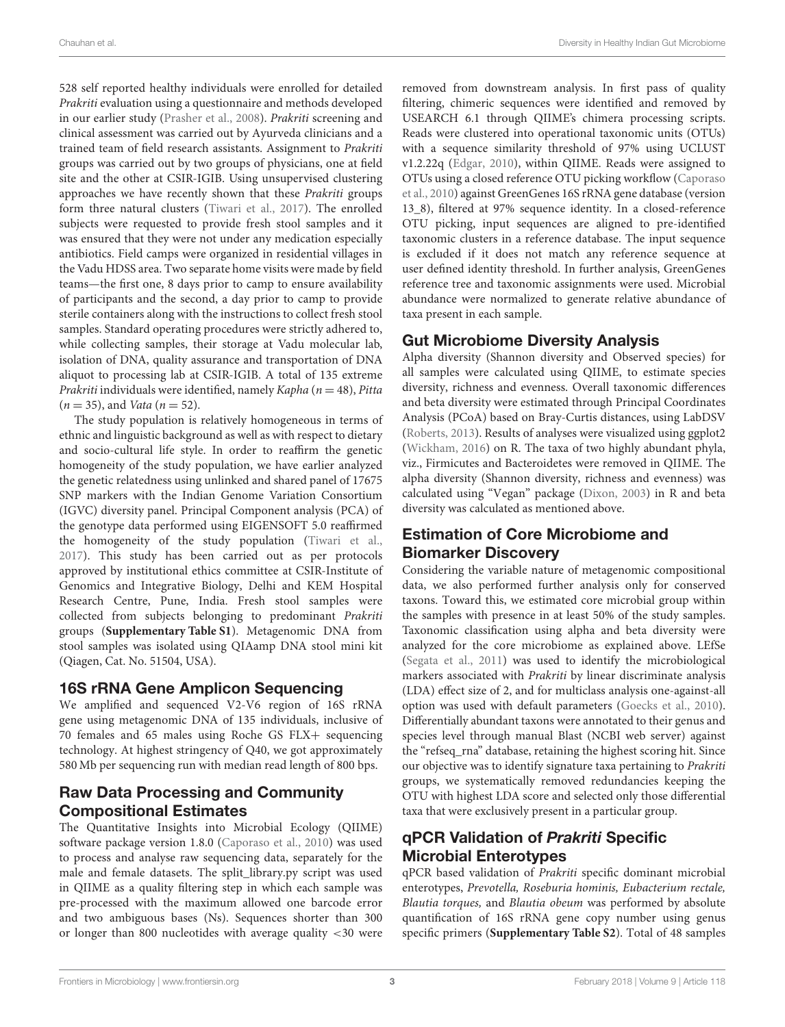528 self reported healthy individuals were enrolled for detailed Prakriti evaluation using a questionnaire and methods developed in our earlier study (Prasher et al., 2008). Prakriti screening and clinical assessment was carried out by Ayurveda clinicians and a trained team of field research assistants. Assignment to Prakriti groups was carried out by two groups of physicians, one at field site and the other at CSIR-IGIB. Using unsupervised clustering approaches we have recently shown that these Prakriti groups form three natural clusters (Tiwari et al., 2017). The enrolled subjects were requested to provide fresh stool samples and it was ensured that they were not under any medication especially antibiotics. Field camps were organized in residential villages in the Vadu HDSS area. Two separate home visits were made by field teams—the first one, 8 days prior to camp to ensure availability of participants and the second, a day prior to camp to provide sterile containers along with the instructions to collect fresh stool samples. Standard operating procedures were strictly adhered to, while collecting samples, their storage at Vadu molecular lab, isolation of DNA, quality assurance and transportation of DNA aliquot to processing lab at CSIR-IGIB. A total of 135 extreme Prakriti individuals were identified, namely Kapha ( $n = 48$ ), Pitta  $(n = 35)$ , and *Vata*  $(n = 52)$ .

The study population is relatively homogeneous in terms of ethnic and linguistic background as well as with respect to dietary and socio-cultural life style. In order to reaffirm the genetic homogeneity of the study population, we have earlier analyzed the genetic relatedness using unlinked and shared panel of 17675 SNP markers with the Indian Genome Variation Consortium (IGVC) diversity panel. Principal Component analysis (PCA) of the genotype data performed using EIGENSOFT 5.0 reaffirmed the homogeneity of the study population (Tiwari et al., 2017). This study has been carried out as per protocols approved by institutional ethics committee at CSIR-Institute of Genomics and Integrative Biology, Delhi and KEM Hospital Research Centre, Pune, India. Fresh stool samples were collected from subjects belonging to predominant Prakriti groups (**Supplementary Table S1**). Metagenomic DNA from stool samples was isolated using QIAamp DNA stool mini kit (Qiagen, Cat. No. 51504, USA).

#### 16S rRNA Gene Amplicon Sequencing

We amplified and sequenced V2-V6 region of 16S rRNA gene using metagenomic DNA of 135 individuals, inclusive of 70 females and 65 males using Roche GS FLX+ sequencing technology. At highest stringency of Q40, we got approximately 580 Mb per sequencing run with median read length of 800 bps.

### Raw Data Processing and Community Compositional Estimates

The Quantitative Insights into Microbial Ecology (QIIME) software package version 1.8.0 (Caporaso et al., 2010) was used to process and analyse raw sequencing data, separately for the male and female datasets. The split\_library.py script was used in QIIME as a quality filtering step in which each sample was pre-processed with the maximum allowed one barcode error and two ambiguous bases (Ns). Sequences shorter than 300 or longer than 800 nucleotides with average quality <30 were removed from downstream analysis. In first pass of quality filtering, chimeric sequences were identified and removed by USEARCH 6.1 through QIIME's chimera processing scripts. Reads were clustered into operational taxonomic units (OTUs) with a sequence similarity threshold of 97% using UCLUST v1.2.22q (Edgar, 2010), within QIIME. Reads were assigned to OTUs using a closed reference OTU picking workflow (Caporaso et al., 2010) against GreenGenes 16S rRNA gene database (version 13\_8), filtered at 97% sequence identity. In a closed-reference OTU picking, input sequences are aligned to pre-identified taxonomic clusters in a reference database. The input sequence is excluded if it does not match any reference sequence at user defined identity threshold. In further analysis, GreenGenes reference tree and taxonomic assignments were used. Microbial abundance were normalized to generate relative abundance of taxa present in each sample.

### Gut Microbiome Diversity Analysis

Alpha diversity (Shannon diversity and Observed species) for all samples were calculated using QIIME, to estimate species diversity, richness and evenness. Overall taxonomic differences and beta diversity were estimated through Principal Coordinates Analysis (PCoA) based on Bray-Curtis distances, using LabDSV (Roberts, 2013). Results of analyses were visualized using ggplot2 (Wickham, 2016) on R. The taxa of two highly abundant phyla, viz., Firmicutes and Bacteroidetes were removed in QIIME. The alpha diversity (Shannon diversity, richness and evenness) was calculated using "Vegan" package (Dixon, 2003) in R and beta diversity was calculated as mentioned above.

# Estimation of Core Microbiome and Biomarker Discovery

Considering the variable nature of metagenomic compositional data, we also performed further analysis only for conserved taxons. Toward this, we estimated core microbial group within the samples with presence in at least 50% of the study samples. Taxonomic classification using alpha and beta diversity were analyzed for the core microbiome as explained above. LEfSe (Segata et al., 2011) was used to identify the microbiological markers associated with Prakriti by linear discriminate analysis (LDA) effect size of 2, and for multiclass analysis one-against-all option was used with default parameters (Goecks et al., 2010). Differentially abundant taxons were annotated to their genus and species level through manual Blast (NCBI web server) against the "refseq\_rna" database, retaining the highest scoring hit. Since our objective was to identify signature taxa pertaining to Prakriti groups, we systematically removed redundancies keeping the OTU with highest LDA score and selected only those differential taxa that were exclusively present in a particular group.

# qPCR Validation of Prakriti Specific Microbial Enterotypes

qPCR based validation of Prakriti specific dominant microbial enterotypes, Prevotella, Roseburia hominis, Eubacterium rectale, Blautia torques, and Blautia obeum was performed by absolute quantification of 16S rRNA gene copy number using genus specific primers (**Supplementary Table S2**). Total of 48 samples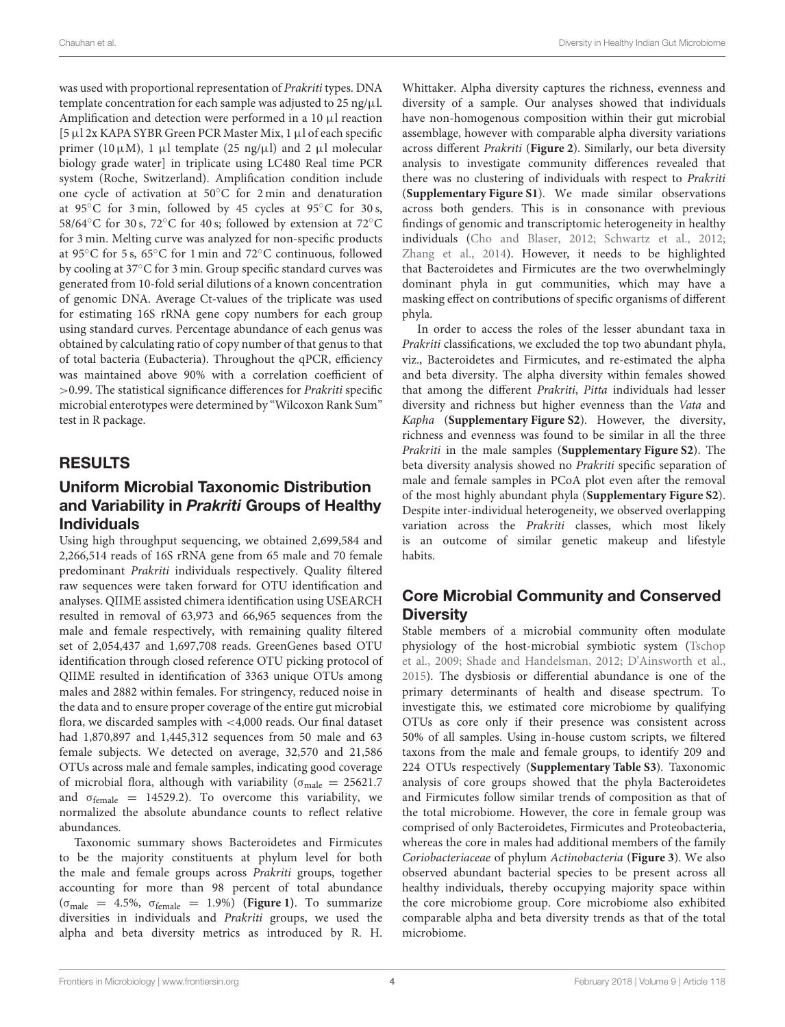was used with proportional representation of Prakriti types. DNA template concentration for each sample was adjusted to  $25$  ng/ $\mu$ l. Amplification and detection were performed in a 10 µl reaction [5 µl 2x KAPA SYBR Green PCR Master Mix, 1 µl of each specific primer (10 $\mu$ M), 1  $\mu$ l template (25 ng/ $\mu$ l) and 2  $\mu$ l molecular biology grade water] in triplicate using LC480 Real time PCR system (Roche, Switzerland). Amplification condition include one cycle of activation at 50◦C for 2 min and denaturation at 95 $°C$  for 3 min, followed by 45 cycles at 95 $°C$  for 30 s, 58/64◦C for 30 s, 72◦C for 40 s; followed by extension at 72◦C for 3 min. Melting curve was analyzed for non-specific products at 95◦C for 5 s, 65◦C for 1 min and 72◦C continuous, followed by cooling at 37◦C for 3 min. Group specific standard curves was generated from 10-fold serial dilutions of a known concentration of genomic DNA. Average Ct-values of the triplicate was used for estimating 16S rRNA gene copy numbers for each group using standard curves. Percentage abundance of each genus was obtained by calculating ratio of copy number of that genus to that of total bacteria (Eubacteria). Throughout the qPCR, efficiency was maintained above 90% with a correlation coefficient of >0.99. The statistical significance differences for Prakriti specific microbial enterotypes were determined by "Wilcoxon Rank Sum" test in R package.

# RESULTS

### Uniform Microbial Taxonomic Distribution and Variability in Prakriti Groups of Healthy Individuals

Using high throughput sequencing, we obtained 2,699,584 and 2,266,514 reads of 16S rRNA gene from 65 male and 70 female predominant Prakriti individuals respectively. Quality filtered raw sequences were taken forward for OTU identification and analyses. QIIME assisted chimera identification using USEARCH resulted in removal of 63,973 and 66,965 sequences from the male and female respectively, with remaining quality filtered set of 2,054,437 and 1,697,708 reads. GreenGenes based OTU identification through closed reference OTU picking protocol of QIIME resulted in identification of 3363 unique OTUs among males and 2882 within females. For stringency, reduced noise in the data and to ensure proper coverage of the entire gut microbial flora, we discarded samples with <4,000 reads. Our final dataset had 1,870,897 and 1,445,312 sequences from 50 male and 63 female subjects. We detected on average, 32,570 and 21,586 OTUs across male and female samples, indicating good coverage of microbial flora, although with variability ( $\sigma_{male} = 25621.7$ and  $\sigma_{\text{female}} = 14529.2$ ). To overcome this variability, we normalized the absolute abundance counts to reflect relative abundances.

Taxonomic summary shows Bacteroidetes and Firmicutes to be the majority constituents at phylum level for both the male and female groups across Prakriti groups, together accounting for more than 98 percent of total abundance (σmale = 4.5%, σfemale = 1.9%) **(Figure 1)**. To summarize diversities in individuals and Prakriti groups, we used the alpha and beta diversity metrics as introduced by R. H.

Whittaker. Alpha diversity captures the richness, evenness and diversity of a sample. Our analyses showed that individuals have non-homogenous composition within their gut microbial assemblage, however with comparable alpha diversity variations across different Prakriti (**Figure 2**). Similarly, our beta diversity analysis to investigate community differences revealed that there was no clustering of individuals with respect to Prakriti (**Supplementary Figure S1**). We made similar observations across both genders. This is in consonance with previous findings of genomic and transcriptomic heterogeneity in healthy individuals (Cho and Blaser, 2012; Schwartz et al., 2012; Zhang et al., 2014). However, it needs to be highlighted that Bacteroidetes and Firmicutes are the two overwhelmingly dominant phyla in gut communities, which may have a masking effect on contributions of specific organisms of different phyla.

In order to access the roles of the lesser abundant taxa in Prakriti classifications, we excluded the top two abundant phyla, viz., Bacteroidetes and Firmicutes, and re-estimated the alpha and beta diversity. The alpha diversity within females showed that among the different Prakriti, Pitta individuals had lesser diversity and richness but higher evenness than the Vata and Kapha (**Supplementary Figure S2**). However, the diversity, richness and evenness was found to be similar in all the three Prakriti in the male samples (**Supplementary Figure S2**). The beta diversity analysis showed no Prakriti specific separation of male and female samples in PCoA plot even after the removal of the most highly abundant phyla (**Supplementary Figure S2**). Despite inter-individual heterogeneity, we observed overlapping variation across the Prakriti classes, which most likely is an outcome of similar genetic makeup and lifestyle habits.

### Core Microbial Community and Conserved **Diversity**

Stable members of a microbial community often modulate physiology of the host-microbial symbiotic system (Tschop et al., 2009; Shade and Handelsman, 2012; D'Ainsworth et al., 2015). The dysbiosis or differential abundance is one of the primary determinants of health and disease spectrum. To investigate this, we estimated core microbiome by qualifying OTUs as core only if their presence was consistent across 50% of all samples. Using in-house custom scripts, we filtered taxons from the male and female groups, to identify 209 and 224 OTUs respectively (**Supplementary Table S3**). Taxonomic analysis of core groups showed that the phyla Bacteroidetes and Firmicutes follow similar trends of composition as that of the total microbiome. However, the core in female group was comprised of only Bacteroidetes, Firmicutes and Proteobacteria, whereas the core in males had additional members of the family Coriobacteriaceae of phylum Actinobacteria (**Figure 3**). We also observed abundant bacterial species to be present across all healthy individuals, thereby occupying majority space within the core microbiome group. Core microbiome also exhibited comparable alpha and beta diversity trends as that of the total microbiome.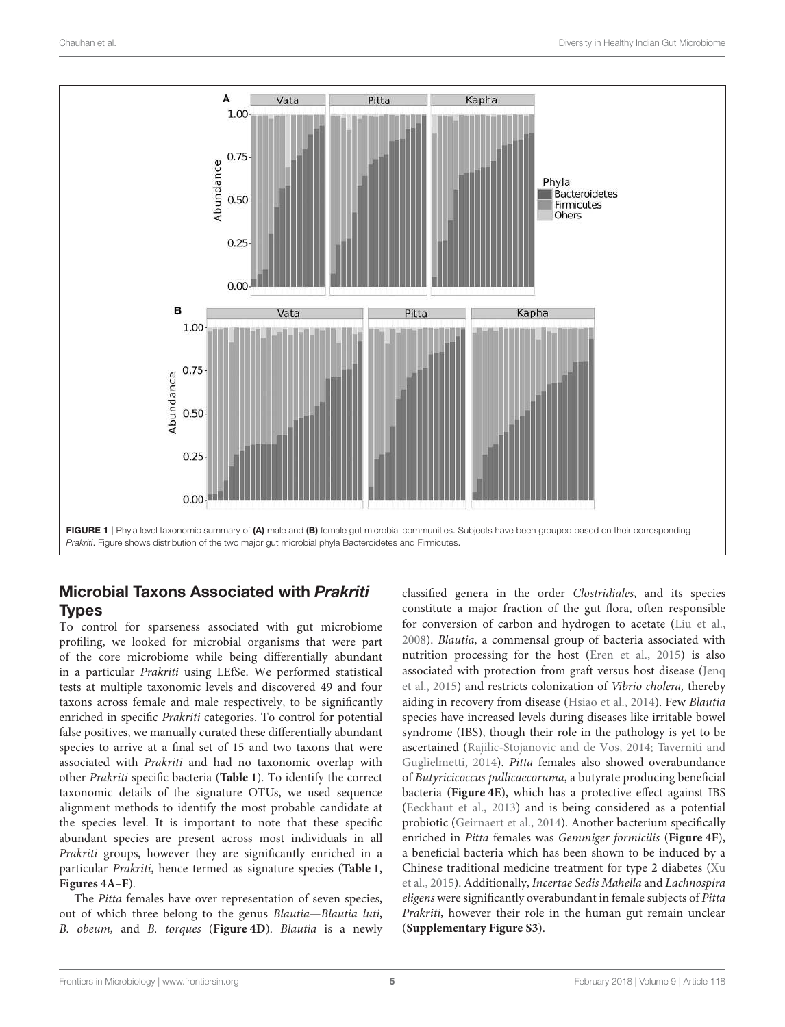

### Microbial Taxons Associated with Prakriti **Types**

To control for sparseness associated with gut microbiome profiling, we looked for microbial organisms that were part of the core microbiome while being differentially abundant in a particular Prakriti using LEfSe. We performed statistical tests at multiple taxonomic levels and discovered 49 and four taxons across female and male respectively, to be significantly enriched in specific Prakriti categories. To control for potential false positives, we manually curated these differentially abundant species to arrive at a final set of 15 and two taxons that were associated with Prakriti and had no taxonomic overlap with other Prakriti specific bacteria (**Table 1**). To identify the correct taxonomic details of the signature OTUs, we used sequence alignment methods to identify the most probable candidate at the species level. It is important to note that these specific abundant species are present across most individuals in all Prakriti groups, however they are significantly enriched in a particular Prakriti, hence termed as signature species (**Table 1**, **Figures 4A–F**).

The Pitta females have over representation of seven species, out of which three belong to the genus Blautia—Blautia luti, B. obeum, and B. torques (**Figure 4D**). Blautia is a newly classified genera in the order Clostridiales, and its species constitute a major fraction of the gut flora, often responsible for conversion of carbon and hydrogen to acetate (Liu et al., 2008). Blautia, a commensal group of bacteria associated with nutrition processing for the host (Eren et al., 2015) is also associated with protection from graft versus host disease (Jenq et al., 2015) and restricts colonization of Vibrio cholera, thereby aiding in recovery from disease (Hsiao et al., 2014). Few Blautia species have increased levels during diseases like irritable bowel syndrome (IBS), though their role in the pathology is yet to be ascertained (Rajilic-Stojanovic and de Vos, 2014; Taverniti and Guglielmetti, 2014). Pitta females also showed overabundance of Butyricicoccus pullicaecoruma, a butyrate producing beneficial bacteria (**Figure 4E**), which has a protective effect against IBS (Eeckhaut et al., 2013) and is being considered as a potential probiotic (Geirnaert et al., 2014). Another bacterium specifically enriched in Pitta females was Gemmiger formicilis (**Figure 4F**), a beneficial bacteria which has been shown to be induced by a Chinese traditional medicine treatment for type 2 diabetes (Xu et al., 2015). Additionally, Incertae Sedis Mahella and Lachnospira eligens were significantly overabundant in female subjects of Pitta Prakriti, however their role in the human gut remain unclear (**Supplementary Figure S3**).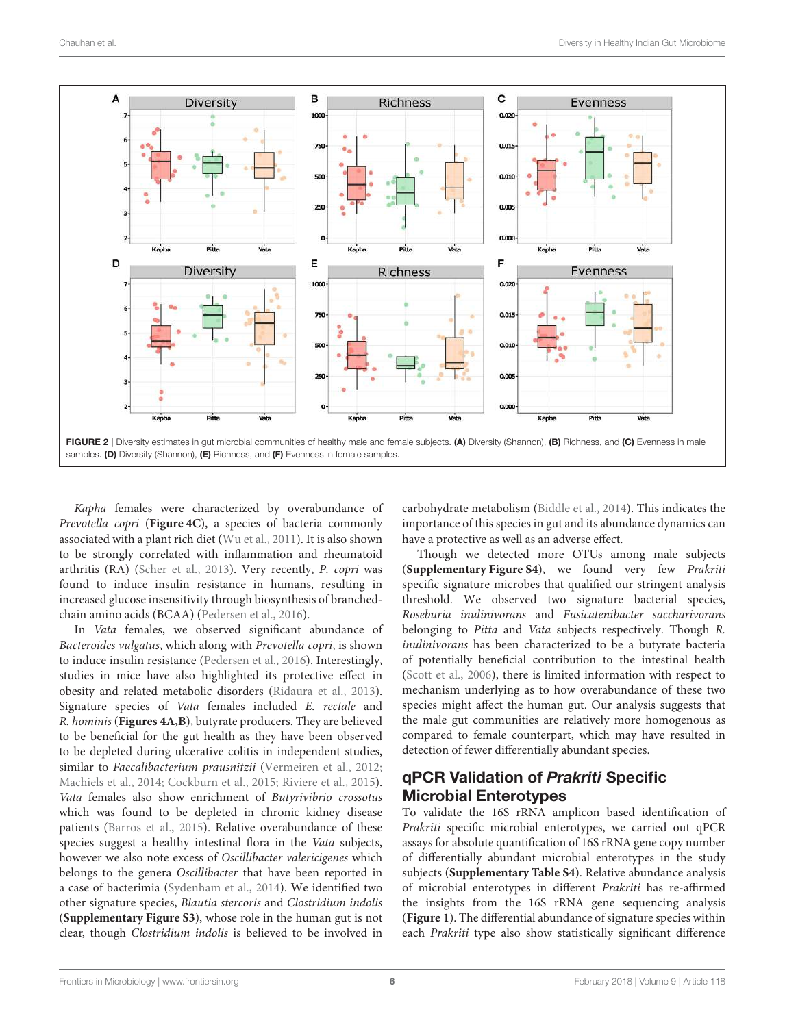

Kapha females were characterized by overabundance of Prevotella copri (**Figure 4C**), a species of bacteria commonly associated with a plant rich diet (Wu et al., 2011). It is also shown to be strongly correlated with inflammation and rheumatoid arthritis (RA) (Scher et al., 2013). Very recently, P. copri was found to induce insulin resistance in humans, resulting in increased glucose insensitivity through biosynthesis of branchedchain amino acids (BCAA) (Pedersen et al., 2016).

In Vata females, we observed significant abundance of Bacteroides vulgatus, which along with Prevotella copri, is shown to induce insulin resistance (Pedersen et al., 2016). Interestingly, studies in mice have also highlighted its protective effect in obesity and related metabolic disorders (Ridaura et al., 2013). Signature species of Vata females included E. rectale and R. hominis (**Figures 4A,B**), butyrate producers. They are believed to be beneficial for the gut health as they have been observed to be depleted during ulcerative colitis in independent studies, similar to Faecalibacterium prausnitzii (Vermeiren et al., 2012; Machiels et al., 2014; Cockburn et al., 2015; Riviere et al., 2015). Vata females also show enrichment of Butyrivibrio crossotus which was found to be depleted in chronic kidney disease patients (Barros et al., 2015). Relative overabundance of these species suggest a healthy intestinal flora in the Vata subjects, however we also note excess of Oscillibacter valericigenes which belongs to the genera Oscillibacter that have been reported in a case of bacterimia (Sydenham et al., 2014). We identified two other signature species, Blautia stercoris and Clostridium indolis (**Supplementary Figure S3**), whose role in the human gut is not clear, though Clostridium indolis is believed to be involved in carbohydrate metabolism (Biddle et al., 2014). This indicates the importance of this species in gut and its abundance dynamics can have a protective as well as an adverse effect.

Though we detected more OTUs among male subjects (**Supplementary Figure S4**), we found very few Prakriti specific signature microbes that qualified our stringent analysis threshold. We observed two signature bacterial species, Roseburia inulinivorans and Fusicatenibacter saccharivorans belonging to Pitta and Vata subjects respectively. Though R. inulinivorans has been characterized to be a butyrate bacteria of potentially beneficial contribution to the intestinal health (Scott et al., 2006), there is limited information with respect to mechanism underlying as to how overabundance of these two species might affect the human gut. Our analysis suggests that the male gut communities are relatively more homogenous as compared to female counterpart, which may have resulted in detection of fewer differentially abundant species.

# qPCR Validation of Prakriti Specific Microbial Enterotypes

To validate the 16S rRNA amplicon based identification of Prakriti specific microbial enterotypes, we carried out qPCR assays for absolute quantification of 16S rRNA gene copy number of differentially abundant microbial enterotypes in the study subjects (**Supplementary Table S4**). Relative abundance analysis of microbial enterotypes in different Prakriti has re-affirmed the insights from the 16S rRNA gene sequencing analysis (**Figure 1**). The differential abundance of signature species within each Prakriti type also show statistically significant difference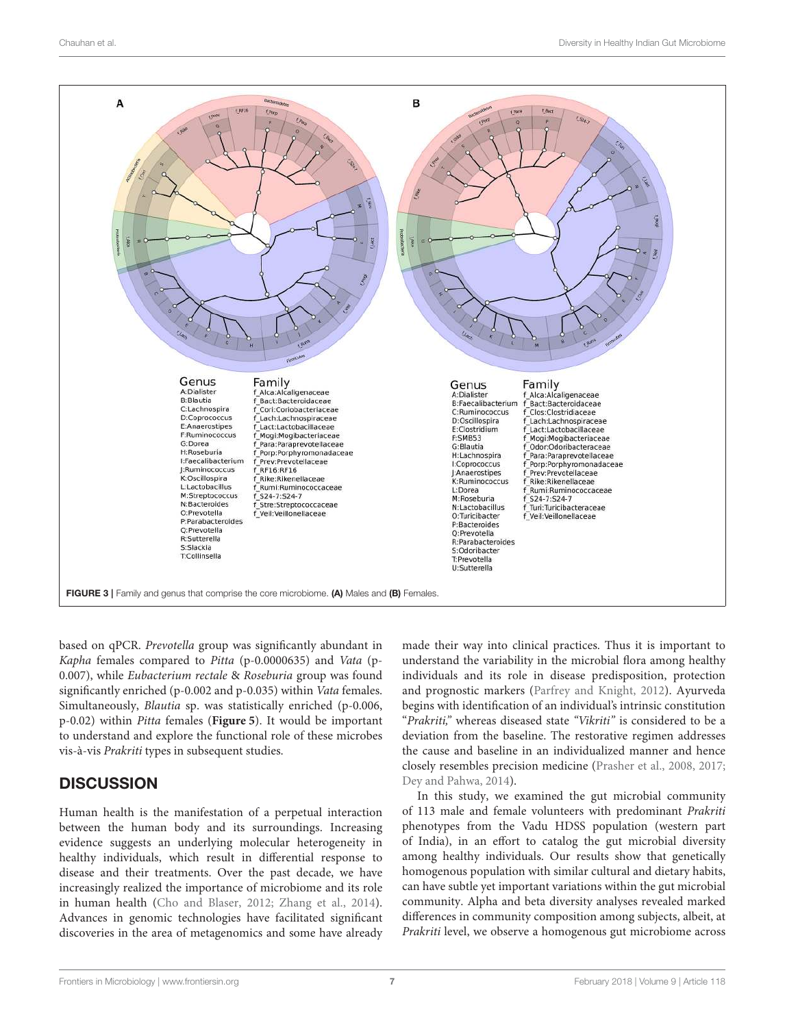

based on qPCR. Prevotella group was significantly abundant in Kapha females compared to Pitta (p-0.0000635) and Vata (p-0.007), while Eubacterium rectale & Roseburia group was found significantly enriched (p-0.002 and p-0.035) within Vata females. Simultaneously, Blautia sp. was statistically enriched (p-0.006, p-0.02) within Pitta females (**Figure 5**). It would be important to understand and explore the functional role of these microbes vis-à-vis Prakriti types in subsequent studies.

# **DISCUSSION**

Human health is the manifestation of a perpetual interaction between the human body and its surroundings. Increasing evidence suggests an underlying molecular heterogeneity in healthy individuals, which result in differential response to disease and their treatments. Over the past decade, we have increasingly realized the importance of microbiome and its role in human health (Cho and Blaser, 2012; Zhang et al., 2014). Advances in genomic technologies have facilitated significant discoveries in the area of metagenomics and some have already made their way into clinical practices. Thus it is important to understand the variability in the microbial flora among healthy individuals and its role in disease predisposition, protection and prognostic markers (Parfrey and Knight, 2012). Ayurveda begins with identification of an individual's intrinsic constitution "Prakriti," whereas diseased state "Vikriti" is considered to be a deviation from the baseline. The restorative regimen addresses the cause and baseline in an individualized manner and hence closely resembles precision medicine (Prasher et al., 2008, 2017; Dey and Pahwa, 2014).

In this study, we examined the gut microbial community of 113 male and female volunteers with predominant Prakriti phenotypes from the Vadu HDSS population (western part of India), in an effort to catalog the gut microbial diversity among healthy individuals. Our results show that genetically homogenous population with similar cultural and dietary habits, can have subtle yet important variations within the gut microbial community. Alpha and beta diversity analyses revealed marked differences in community composition among subjects, albeit, at Prakriti level, we observe a homogenous gut microbiome across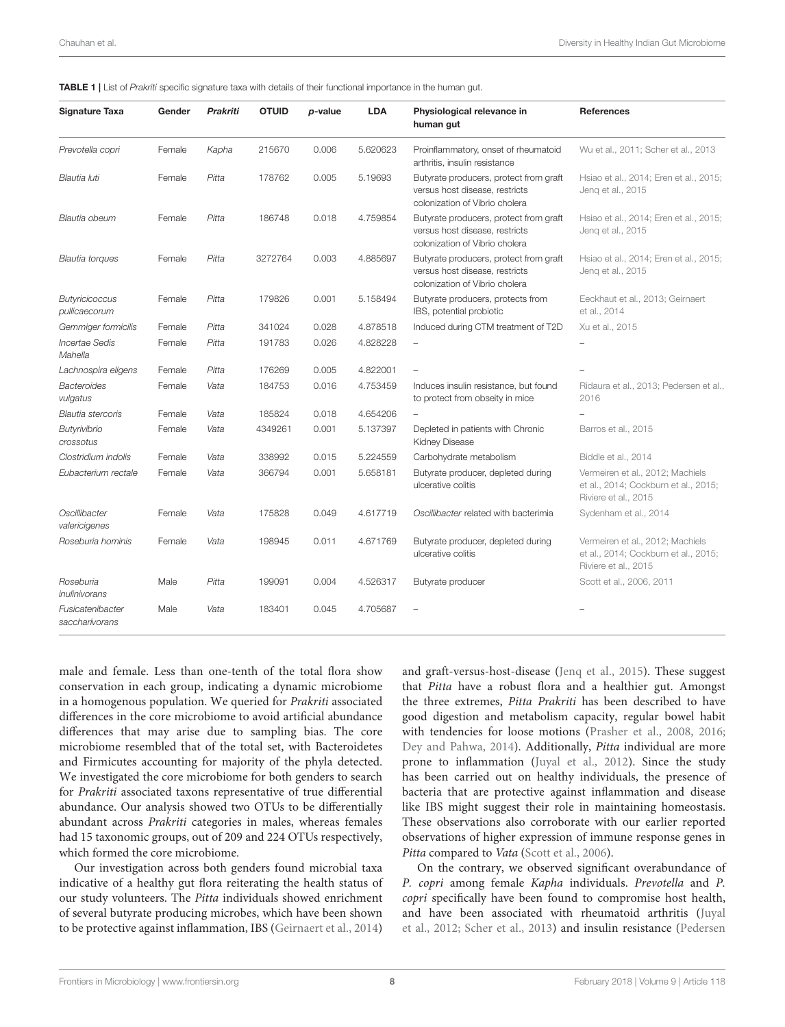| <b>Signature Taxa</b>                  | Gender | <b>Prakriti</b> | <b>OTUID</b> | p-value | <b>LDA</b> | Physiological relevance in<br>human gut                                                                    | <b>References</b>                                                                                |
|----------------------------------------|--------|-----------------|--------------|---------|------------|------------------------------------------------------------------------------------------------------------|--------------------------------------------------------------------------------------------------|
| Prevotella copri                       | Female | Kapha           | 215670       | 0.006   | 5.620623   | Proinflammatory, onset of rheumatoid<br>arthritis, insulin resistance                                      | Wu et al., 2011; Scher et al., 2013                                                              |
| Blautia luti                           | Female | Pitta           | 178762       | 0.005   | 5.19693    | Butyrate producers, protect from graft<br>versus host disease, restricts<br>colonization of Vibrio cholera | Hsiao et al., 2014; Eren et al., 2015;<br>Jenq et al., 2015                                      |
| Blautia obeum                          | Female | Pitta           | 186748       | 0.018   | 4.759854   | Butyrate producers, protect from graft<br>versus host disease, restricts<br>colonization of Vibrio cholera | Hsiao et al., 2014; Eren et al., 2015;<br>Jeng et al., 2015                                      |
| Blautia torques                        | Female | Pitta           | 3272764      | 0.003   | 4.885697   | Butyrate producers, protect from graft<br>versus host disease, restricts<br>colonization of Vibrio cholera | Hsiao et al., 2014; Eren et al., 2015;<br>Jeng et al., 2015                                      |
| <b>Butyricicoccus</b><br>pullicaecorum | Female | Pitta           | 179826       | 0.001   | 5.158494   | Butyrate producers, protects from<br>IBS, potential probiotic                                              | Eeckhaut et al., 2013; Geirnaert<br>et al., 2014                                                 |
| Gemmiger formicilis                    | Female | Pitta           | 341024       | 0.028   | 4.878518   | Induced during CTM treatment of T2D                                                                        | Xu et al., 2015                                                                                  |
| <b>Incertae Sedis</b><br>Mahella       | Female | Pitta           | 191783       | 0.026   | 4.828228   |                                                                                                            |                                                                                                  |
| Lachnospira eligens                    | Female | Pitta           | 176269       | 0.005   | 4.822001   |                                                                                                            |                                                                                                  |
| <b>Bacteroides</b><br>vulgatus         | Female | Vata            | 184753       | 0.016   | 4.753459   | Induces insulin resistance, but found<br>to protect from obseity in mice                                   | Ridaura et al., 2013; Pedersen et al.,<br>2016                                                   |
| <b>Blautia stercoris</b>               | Female | Vata            | 185824       | 0.018   | 4.654206   |                                                                                                            |                                                                                                  |
| <b>Butyrivibrio</b><br>crossotus       | Female | Vata            | 4349261      | 0.001   | 5.137397   | Depleted in patients with Chronic<br><b>Kidney Disease</b>                                                 | Barros et al., 2015                                                                              |
| Clostridium indolis                    | Female | Vata            | 338992       | 0.015   | 5.224559   | Carbohydrate metabolism                                                                                    | Biddle et al., 2014                                                                              |
| Eubacterium rectale                    | Female | Vata            | 366794       | 0.001   | 5.658181   | Butyrate producer, depleted during<br>ulcerative colitis                                                   | Vermeiren et al., 2012; Machiels<br>et al., 2014; Cockburn et al., 2015;<br>Riviere et al., 2015 |
| Oscillibacter<br>valericigenes         | Female | Vata            | 175828       | 0.049   | 4.617719   | Oscillibacter related with bacterimia                                                                      | Sydenham et al., 2014                                                                            |
| Roseburia hominis                      | Female | Vata            | 198945       | 0.011   | 4.671769   | Butyrate producer, depleted during<br>ulcerative colitis                                                   | Vermeiren et al., 2012; Machiels<br>et al., 2014; Cockburn et al., 2015;<br>Riviere et al., 2015 |
| Roseburia<br>inulinivorans             | Male   | Pitta           | 199091       | 0.004   | 4.526317   | Butyrate producer                                                                                          | Scott et al., 2006, 2011                                                                         |
| Fusicatenibacter<br>saccharivorans     | Male   | Vata            | 183401       | 0.045   | 4.705687   |                                                                                                            |                                                                                                  |

male and female. Less than one-tenth of the total flora show conservation in each group, indicating a dynamic microbiome in a homogenous population. We queried for Prakriti associated differences in the core microbiome to avoid artificial abundance differences that may arise due to sampling bias. The core microbiome resembled that of the total set, with Bacteroidetes and Firmicutes accounting for majority of the phyla detected. We investigated the core microbiome for both genders to search for Prakriti associated taxons representative of true differential abundance. Our analysis showed two OTUs to be differentially abundant across Prakriti categories in males, whereas females had 15 taxonomic groups, out of 209 and 224 OTUs respectively, which formed the core microbiome.

Our investigation across both genders found microbial taxa indicative of a healthy gut flora reiterating the health status of our study volunteers. The Pitta individuals showed enrichment of several butyrate producing microbes, which have been shown to be protective against inflammation, IBS (Geirnaert et al., 2014) and graft-versus-host-disease (Jenq et al., 2015). These suggest that Pitta have a robust flora and a healthier gut. Amongst the three extremes, Pitta Prakriti has been described to have good digestion and metabolism capacity, regular bowel habit with tendencies for loose motions (Prasher et al., 2008, 2016; Dey and Pahwa, 2014). Additionally, Pitta individual are more prone to inflammation (Juyal et al., 2012). Since the study has been carried out on healthy individuals, the presence of bacteria that are protective against inflammation and disease like IBS might suggest their role in maintaining homeostasis. These observations also corroborate with our earlier reported observations of higher expression of immune response genes in Pitta compared to Vata (Scott et al., 2006).

On the contrary, we observed significant overabundance of P. copri among female Kapha individuals. Prevotella and P. copri specifically have been found to compromise host health, and have been associated with rheumatoid arthritis (Juyal et al., 2012; Scher et al., 2013) and insulin resistance (Pedersen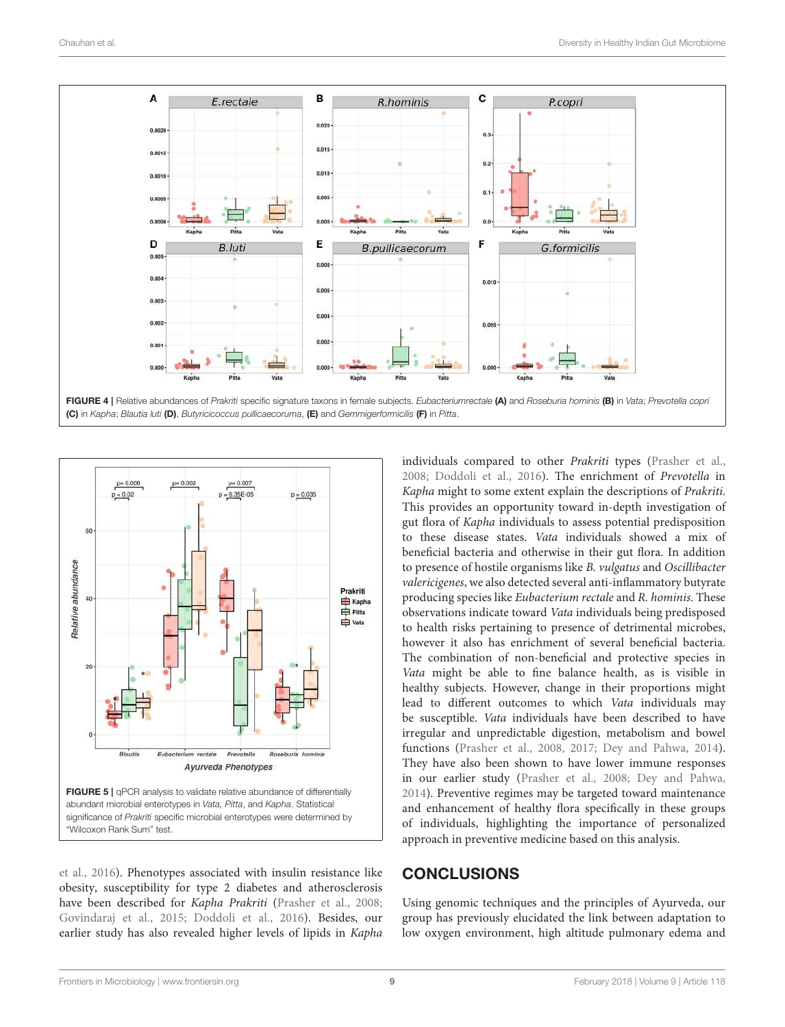



et al., 2016). Phenotypes associated with insulin resistance like obesity, susceptibility for type 2 diabetes and atherosclerosis have been described for Kapha Prakriti (Prasher et al., 2008; Govindaraj et al., 2015; Doddoli et al., 2016). Besides, our earlier study has also revealed higher levels of lipids in Kapha

individuals compared to other Prakriti types (Prasher et al., 2008; Doddoli et al., 2016). The enrichment of Prevotella in Kapha might to some extent explain the descriptions of Prakriti. This provides an opportunity toward in-depth investigation of gut flora of Kapha individuals to assess potential predisposition to these disease states. Vata individuals showed a mix of beneficial bacteria and otherwise in their gut flora. In addition to presence of hostile organisms like B. vulgatus and Oscillibacter valericigenes, we also detected several anti-inflammatory butyrate producing species like Eubacterium rectale and R. hominis. These observations indicate toward Vata individuals being predisposed to health risks pertaining to presence of detrimental microbes, however it also has enrichment of several beneficial bacteria. The combination of non-beneficial and protective species in Vata might be able to fine balance health, as is visible in healthy subjects. However, change in their proportions might lead to different outcomes to which Vata individuals may be susceptible. Vata individuals have been described to have irregular and unpredictable digestion, metabolism and bowel functions (Prasher et al., 2008, 2017; Dey and Pahwa, 2014). They have also been shown to have lower immune responses in our earlier study (Prasher et al., 2008; Dey and Pahwa, 2014). Preventive regimes may be targeted toward maintenance and enhancement of healthy flora specifically in these groups of individuals, highlighting the importance of personalized approach in preventive medicine based on this analysis.

# **CONCLUSIONS**

Using genomic techniques and the principles of Ayurveda, our group has previously elucidated the link between adaptation to low oxygen environment, high altitude pulmonary edema and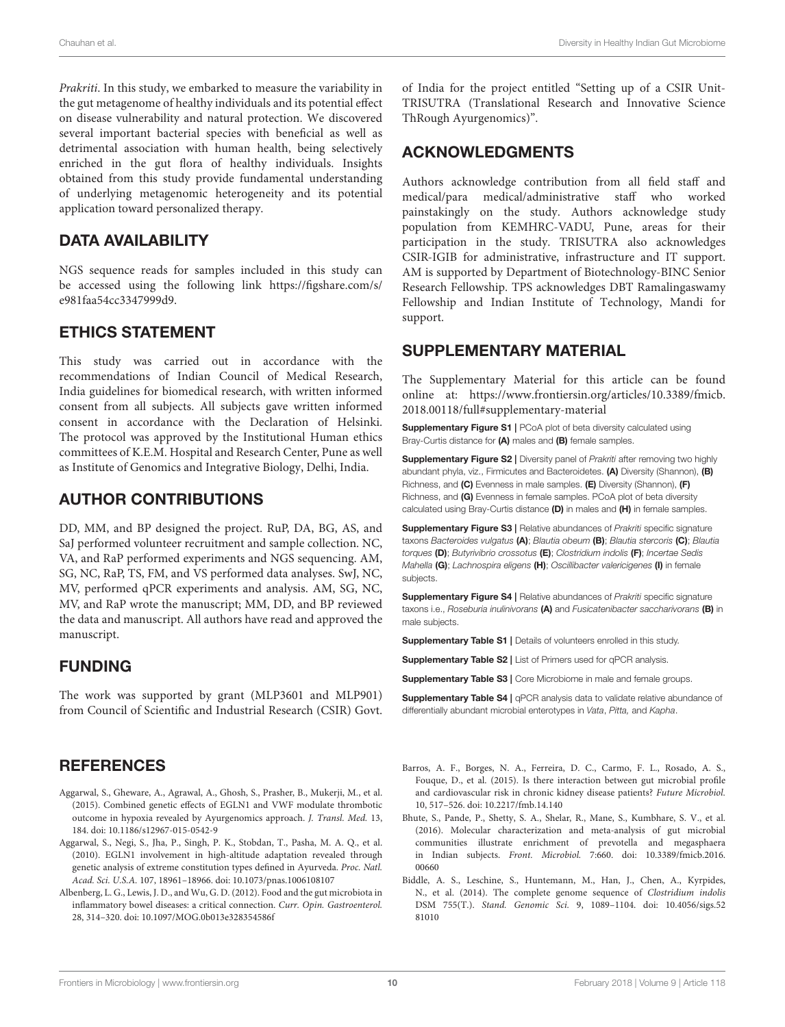Prakriti. In this study, we embarked to measure the variability in the gut metagenome of healthy individuals and its potential effect on disease vulnerability and natural protection. We discovered several important bacterial species with beneficial as well as detrimental association with human health, being selectively enriched in the gut flora of healthy individuals. Insights obtained from this study provide fundamental understanding of underlying metagenomic heterogeneity and its potential application toward personalized therapy.

#### DATA AVAILABILITY

NGS sequence reads for samples included in this study can be accessed using the following link https://figshare.com/s/ e981faa54cc3347999d9.

#### ETHICS STATEMENT

This study was carried out in accordance with the recommendations of Indian Council of Medical Research, India guidelines for biomedical research, with written informed consent from all subjects. All subjects gave written informed consent in accordance with the Declaration of Helsinki. The protocol was approved by the Institutional Human ethics committees of K.E.M. Hospital and Research Center, Pune as well as Institute of Genomics and Integrative Biology, Delhi, India.

#### AUTHOR CONTRIBUTIONS

DD, MM, and BP designed the project. RuP, DA, BG, AS, and SaJ performed volunteer recruitment and sample collection. NC, VA, and RaP performed experiments and NGS sequencing. AM, SG, NC, RaP, TS, FM, and VS performed data analyses. SwJ, NC, MV, performed qPCR experiments and analysis. AM, SG, NC, MV, and RaP wrote the manuscript; MM, DD, and BP reviewed the data and manuscript. All authors have read and approved the manuscript.

#### FUNDING

The work was supported by grant (MLP3601 and MLP901) from Council of Scientific and Industrial Research (CSIR) Govt.

#### **REFERENCES**

- Aggarwal, S., Gheware, A., Agrawal, A., Ghosh, S., Prasher, B., Mukerji, M., et al. (2015). Combined genetic effects of EGLN1 and VWF modulate thrombotic outcome in hypoxia revealed by Ayurgenomics approach. J. Transl. Med. 13, 184. doi: 10.1186/s12967-015-0542-9
- Aggarwal, S., Negi, S., Jha, P., Singh, P. K., Stobdan, T., Pasha, M. A. Q., et al. (2010). EGLN1 involvement in high-altitude adaptation revealed through genetic analysis of extreme constitution types defined in Ayurveda. Proc. Natl. Acad. Sci. U.S.A. 107, 18961–18966. doi: 10.1073/pnas.1006108107
- Albenberg, L. G., Lewis, J. D., and Wu, G. D. (2012). Food and the gut microbiota in inflammatory bowel diseases: a critical connection. Curr. Opin. Gastroenterol. 28, 314–320. doi: 10.1097/MOG.0b013e328354586f

of India for the project entitled "Setting up of a CSIR Unit-TRISUTRA (Translational Research and Innovative Science ThRough Ayurgenomics)".

#### ACKNOWLEDGMENTS

Authors acknowledge contribution from all field staff and medical/para medical/administrative staff who worked painstakingly on the study. Authors acknowledge study population from KEMHRC-VADU, Pune, areas for their participation in the study. TRISUTRA also acknowledges CSIR-IGIB for administrative, infrastructure and IT support. AM is supported by Department of Biotechnology-BINC Senior Research Fellowship. TPS acknowledges DBT Ramalingaswamy Fellowship and Indian Institute of Technology, Mandi for support.

#### SUPPLEMENTARY MATERIAL

The Supplementary Material for this article can be found online at: https://www.frontiersin.org/articles/10.3389/fmicb. 2018.00118/full#supplementary-material

Supplementary Figure S1 | PCoA plot of beta diversity calculated using Bray-Curtis distance for (A) males and (B) female samples.

**Supplementary Figure S2 | Diversity panel of** *Prakriti* **after removing two highly** abundant phyla, viz., Firmicutes and Bacteroidetes. (A) Diversity (Shannon), (B) Richness, and (C) Evenness in male samples. (E) Diversity (Shannon), (F) Richness, and (G) Evenness in female samples. PCoA plot of beta diversity calculated using Bray-Curtis distance (D) in males and (H) in female samples.

**Supplementary Figure S3 | Relative abundances of Prakriti specific signature** taxons *Bacteroides vulgatus* (A); *Blautia obeum* (B); *Blautia stercoris* (C); *Blautia torques* (D); *Butyrivibrio crossotus* (E); *Clostridium indolis* (F); *Incertae Sedis Mahella* (G); *Lachnospira eligens* (H); *Oscillibacter valericigenes* (I) in female subjects.

Supplementary Figure S4 | Relative abundances of *Prakriti* specific signature taxons i.e., *Roseburia inulinivorans* (A) and *Fusicatenibacter saccharivorans* (B) in male subjects.

Supplementary Table S1 | Details of volunteers enrolled in this study.

Supplementary Table S2 | List of Primers used for qPCR analysis.

Supplementary Table S3 | Core Microbiome in male and female groups.

Supplementary Table S4 | qPCR analysis data to validate relative abundance of differentially abundant microbial enterotypes in *Vata*, *Pitta,* and *Kapha*.

- Barros, A. F., Borges, N. A., Ferreira, D. C., Carmo, F. L., Rosado, A. S., Fouque, D., et al. (2015). Is there interaction between gut microbial profile and cardiovascular risk in chronic kidney disease patients? Future Microbiol. 10, 517–526. doi: 10.2217/fmb.14.140
- Bhute, S., Pande, P., Shetty, S. A., Shelar, R., Mane, S., Kumbhare, S. V., et al. (2016). Molecular characterization and meta-analysis of gut microbial communities illustrate enrichment of prevotella and megasphaera in Indian subjects. Front. Microbiol. 7:660. doi: 10.3389/fmicb.2016. 00660
- Biddle, A. S., Leschine, S., Huntemann, M., Han, J., Chen, A., Kyrpides, N., et al. (2014). The complete genome sequence of Clostridium indolis DSM 755(T.). Stand. Genomic Sci. 9, 1089–1104. doi: 10.4056/sigs.52 81010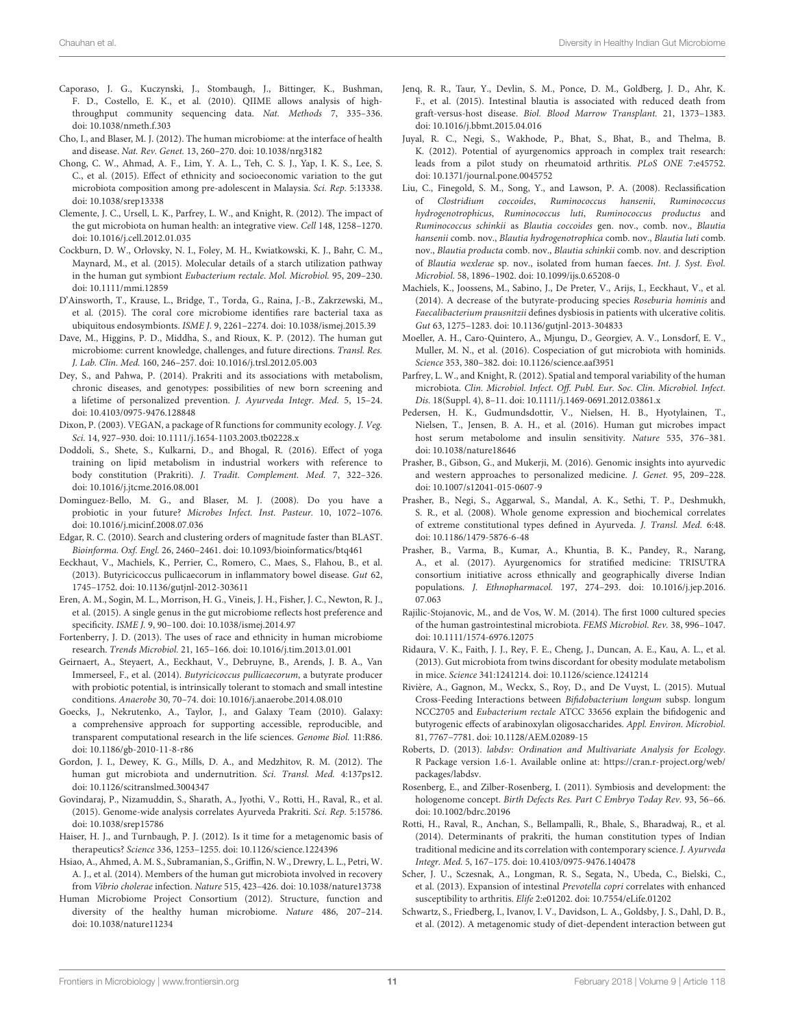- Caporaso, J. G., Kuczynski, J., Stombaugh, J., Bittinger, K., Bushman, F. D., Costello, E. K., et al. (2010). QIIME allows analysis of highthroughput community sequencing data. Nat. Methods 7, 335–336. doi: 10.1038/nmeth.f.303
- Cho, I., and Blaser, M. J. (2012). The human microbiome: at the interface of health and disease. Nat. Rev. Genet. 13, 260–270. doi: 10.1038/nrg3182
- Chong, C. W., Ahmad, A. F., Lim, Y. A. L., Teh, C. S. J., Yap, I. K. S., Lee, S. C., et al. (2015). Effect of ethnicity and socioeconomic variation to the gut microbiota composition among pre-adolescent in Malaysia. Sci. Rep. 5:13338. doi: 10.1038/srep13338
- Clemente, J. C., Ursell, L. K., Parfrey, L. W., and Knight, R. (2012). The impact of the gut microbiota on human health: an integrative view. Cell 148, 1258–1270. doi: 10.1016/j.cell.2012.01.035
- Cockburn, D. W., Orlovsky, N. I., Foley, M. H., Kwiatkowski, K. J., Bahr, C. M., Maynard, M., et al. (2015). Molecular details of a starch utilization pathway in the human gut symbiont Eubacterium rectale. Mol. Microbiol. 95, 209–230. doi: 10.1111/mmi.12859
- D'Ainsworth, T., Krause, L., Bridge, T., Torda, G., Raina, J.-B., Zakrzewski, M., et al. (2015). The coral core microbiome identifies rare bacterial taxa as ubiquitous endosymbionts. ISME J. 9, 2261–2274. doi: 10.1038/ismej.2015.39
- Dave, M., Higgins, P. D., Middha, S., and Rioux, K. P. (2012). The human gut microbiome: current knowledge, challenges, and future directions. Transl. Res. J. Lab. Clin. Med. 160, 246–257. doi: 10.1016/j.trsl.2012.05.003
- Dey, S., and Pahwa, P. (2014). Prakriti and its associations with metabolism, chronic diseases, and genotypes: possibilities of new born screening and a lifetime of personalized prevention. J. Ayurveda Integr. Med. 5, 15–24. doi: 10.4103/0975-9476.128848
- Dixon, P. (2003). VEGAN, a package of R functions for community ecology. J. Veg. Sci. 14, 927–930. doi: 10.1111/j.1654-1103.2003.tb02228.x
- Doddoli, S., Shete, S., Kulkarni, D., and Bhogal, R. (2016). Effect of yoga training on lipid metabolism in industrial workers with reference to body constitution (Prakriti). J. Tradit. Complement. Med. 7, 322–326. doi: 10.1016/j.jtcme.2016.08.001
- Dominguez-Bello, M. G., and Blaser, M. J. (2008). Do you have a probiotic in your future? Microbes Infect. Inst. Pasteur. 10, 1072–1076. doi: 10.1016/j.micinf.2008.07.036
- Edgar, R. C. (2010). Search and clustering orders of magnitude faster than BLAST. Bioinforma. Oxf. Engl. 26, 2460–2461. doi: 10.1093/bioinformatics/btq461
- Eeckhaut, V., Machiels, K., Perrier, C., Romero, C., Maes, S., Flahou, B., et al. (2013). Butyricicoccus pullicaecorum in inflammatory bowel disease. Gut 62, 1745–1752. doi: 10.1136/gutjnl-2012-303611
- Eren, A. M., Sogin, M. L., Morrison, H. G., Vineis, J. H., Fisher, J. C., Newton, R. J., et al. (2015). A single genus in the gut microbiome reflects host preference and specificity. ISME J. 9, 90–100. doi: 10.1038/ismej.2014.97
- Fortenberry, J. D. (2013). The uses of race and ethnicity in human microbiome research. Trends Microbiol. 21, 165–166. doi: 10.1016/j.tim.2013.01.001
- Geirnaert, A., Steyaert, A., Eeckhaut, V., Debruyne, B., Arends, J. B. A., Van Immerseel, F., et al. (2014). Butyricicoccus pullicaecorum, a butyrate producer with probiotic potential, is intrinsically tolerant to stomach and small intestine conditions. Anaerobe 30, 70–74. doi: 10.1016/j.anaerobe.2014.08.010
- Goecks, J., Nekrutenko, A., Taylor, J., and Galaxy Team (2010). Galaxy: a comprehensive approach for supporting accessible, reproducible, and transparent computational research in the life sciences. Genome Biol. 11:R86. doi: 10.1186/gb-2010-11-8-r86
- Gordon, J. I., Dewey, K. G., Mills, D. A., and Medzhitov, R. M. (2012). The human gut microbiota and undernutrition. Sci. Transl. Med. 4:137ps12. doi: 10.1126/scitranslmed.3004347
- Govindaraj, P., Nizamuddin, S., Sharath, A., Jyothi, V., Rotti, H., Raval, R., et al. (2015). Genome-wide analysis correlates Ayurveda Prakriti. Sci. Rep. 5:15786. doi: 10.1038/srep15786
- Haiser, H. J., and Turnbaugh, P. J. (2012). Is it time for a metagenomic basis of therapeutics? Science 336, 1253–1255. doi: 10.1126/science.1224396
- Hsiao, A., Ahmed, A. M. S., Subramanian, S., Griffin, N. W., Drewry, L. L., Petri, W. A. J., et al. (2014). Members of the human gut microbiota involved in recovery from Vibrio cholerae infection. Nature 515, 423–426. doi: 10.1038/nature13738
- Human Microbiome Project Consortium (2012). Structure, function and diversity of the healthy human microbiome. Nature 486, 207–214. doi: 10.1038/nature11234
- Jenq, R. R., Taur, Y., Devlin, S. M., Ponce, D. M., Goldberg, J. D., Ahr, K. F., et al. (2015). Intestinal blautia is associated with reduced death from graft-versus-host disease. Biol. Blood Marrow Transplant. 21, 1373–1383. doi: 10.1016/j.bbmt.2015.04.016
- Juyal, R. C., Negi, S., Wakhode, P., Bhat, S., Bhat, B., and Thelma, B. K. (2012). Potential of ayurgenomics approach in complex trait research: leads from a pilot study on rheumatoid arthritis. PLoS ONE 7:e45752. doi: 10.1371/journal.pone.0045752
- Liu, C., Finegold, S. M., Song, Y., and Lawson, P. A. (2008). Reclassification of Clostridium coccoides, Ruminococcus hansenii, Ruminococcus hydrogenotrophicus, Ruminococcus luti, Ruminococcus productus and Ruminococcus schinkii as Blautia coccoides gen. nov., comb. nov., Blautia hansenii comb. nov., Blautia hydrogenotrophica comb. nov., Blautia luti comb. nov., Blautia producta comb. nov., Blautia schinkii comb. nov. and description of Blautia wexlerae sp. nov., isolated from human faeces. Int. J. Syst. Evol. Microbiol. 58, 1896–1902. doi: 10.1099/ijs.0.65208-0
- Machiels, K., Joossens, M., Sabino, J., De Preter, V., Arijs, I., Eeckhaut, V., et al. (2014). A decrease of the butyrate-producing species Roseburia hominis and Faecalibacterium prausnitzii defines dysbiosis in patients with ulcerative colitis. Gut 63, 1275–1283. doi: 10.1136/gutjnl-2013-304833
- Moeller, A. H., Caro-Quintero, A., Mjungu, D., Georgiev, A. V., Lonsdorf, E. V., Muller, M. N., et al. (2016). Cospeciation of gut microbiota with hominids. Science 353, 380–382. doi: 10.1126/science.aaf3951
- Parfrey, L. W., and Knight, R. (2012). Spatial and temporal variability of the human microbiota. Clin. Microbiol. Infect. Off. Publ. Eur. Soc. Clin. Microbiol. Infect. Dis. 18(Suppl. 4), 8–11. doi: 10.1111/j.1469-0691.2012.03861.x
- Pedersen, H. K., Gudmundsdottir, V., Nielsen, H. B., Hyotylainen, T., Nielsen, T., Jensen, B. A. H., et al. (2016). Human gut microbes impact host serum metabolome and insulin sensitivity. Nature 535, 376–381. doi: 10.1038/nature18646
- Prasher, B., Gibson, G., and Mukerji, M. (2016). Genomic insights into ayurvedic and western approaches to personalized medicine. J. Genet. 95, 209–228. doi: 10.1007/s12041-015-0607-9
- Prasher, B., Negi, S., Aggarwal, S., Mandal, A. K., Sethi, T. P., Deshmukh, S. R., et al. (2008). Whole genome expression and biochemical correlates of extreme constitutional types defined in Ayurveda. J. Transl. Med. 6:48. doi: 10.1186/1479-5876-6-48
- Prasher, B., Varma, B., Kumar, A., Khuntia, B. K., Pandey, R., Narang, A., et al. (2017). Ayurgenomics for stratified medicine: TRISUTRA consortium initiative across ethnically and geographically diverse Indian populations. J. Ethnopharmacol. 197, 274–293. doi: 10.1016/j.jep.2016. 07.063
- Rajilic-Stojanovic, M., and de Vos, W. M. (2014). The first 1000 cultured species of the human gastrointestinal microbiota. FEMS Microbiol. Rev. 38, 996–1047. doi: 10.1111/1574-6976.12075
- Ridaura, V. K., Faith, J. J., Rey, F. E., Cheng, J., Duncan, A. E., Kau, A. L., et al. (2013). Gut microbiota from twins discordant for obesity modulate metabolism in mice. Science 341:1241214. doi: 10.1126/science.1241214
- Rivière, A., Gagnon, M., Weckx, S., Roy, D., and De Vuyst, L. (2015). Mutual Cross-Feeding Interactions between Bifidobacterium longum subsp. longum NCC2705 and Eubacterium rectale ATCC 33656 explain the bifidogenic and butyrogenic effects of arabinoxylan oligosaccharides. Appl. Environ. Microbiol. 81, 7767–7781. doi: 10.1128/AEM.02089-15
- Roberts, D. (2013). labdsv: Ordination and Multivariate Analysis for Ecology. R Package version 1.6-1. Available online at: https://cran.r-project.org/web/ packages/labdsv.
- Rosenberg, E., and Zilber-Rosenberg, I. (2011). Symbiosis and development: the hologenome concept. Birth Defects Res. Part C Embryo Today Rev. 93, 56–66. doi: 10.1002/bdrc.20196
- Rotti, H., Raval, R., Anchan, S., Bellampalli, R., Bhale, S., Bharadwaj, R., et al. (2014). Determinants of prakriti, the human constitution types of Indian traditional medicine and its correlation with contemporary science. J. Ayurveda Integr. Med. 5, 167–175. doi: 10.4103/0975-9476.140478
- Scher, J. U., Sczesnak, A., Longman, R. S., Segata, N., Ubeda, C., Bielski, C., et al. (2013). Expansion of intestinal Prevotella copri correlates with enhanced susceptibility to arthritis. Elife 2:e01202. doi: 10.7554/eLife.01202
- Schwartz, S., Friedberg, I., Ivanov, I. V., Davidson, L. A., Goldsby, J. S., Dahl, D. B., et al. (2012). A metagenomic study of diet-dependent interaction between gut